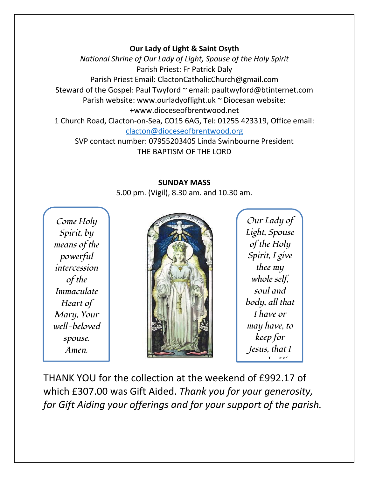## **Our Lady of Light & Saint Osyth**

*National Shrine of Our Lady of Light, Spouse of the Holy Spirit* Parish Priest: Fr Patrick Daly Parish Priest Email: ClactonCatholicChurch@gmail.com Steward of the Gospel: Paul Twyford ~ email: paultwyford@btinternet.com Parish website: www.ourladyoflight.uk ~ Diocesan website: +www.dioceseofbrentwood.net 1 Church Road, Clacton-on-Sea, CO15 6AG, Tel: 01255 423319, Office email: [clacton@dioceseofbrentwood.org](mailto:clacton@dioceseofbrentwood.org)

SVP contact number: 07955203405 Linda Swinbourne President THE BAPTISM OF THE LORD

## **SUNDAY MASS**

5.00 pm. (Vigil), 8.30 am. and 10.30 am.

*Come Holy Spirit, by means of the powerful intercession of the Immaculate Heart of Mary, Your well-beloved spouse. Amen.*



*Our Lady of Light, Spouse of the Holy Spirit, I give thee my whole self, soul and body, all that I have or may have, to keep for Jesus, that I*  **may be His** *between* 

THANK YOU for the collection at the weekend of £992.17 of which £307.00 was Gift Aided. *Thank you for your generosity, for Gift Aiding your offerings and for your support of the parish. Amen.*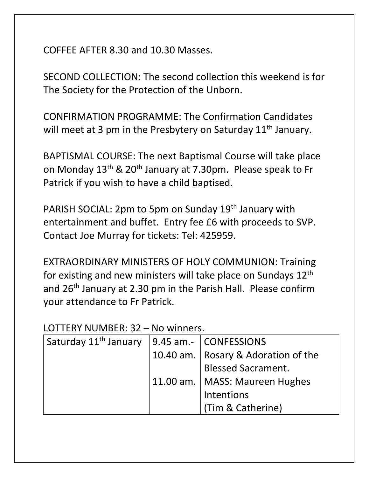COFFEE AFTER 8.30 and 10.30 Masses.

SECOND COLLECTION: The second collection this weekend is for The Society for the Protection of the Unborn.

CONFIRMATION PROGRAMME: The Confirmation Candidates will meet at 3 pm in the Presbytery on Saturday  $11<sup>th</sup>$  January.

BAPTISMAL COURSE: The next Baptismal Course will take place on Monday 13<sup>th</sup> & 20<sup>th</sup> January at 7.30pm. Please speak to Fr Patrick if you wish to have a child baptised.

PARISH SOCIAL: 2pm to 5pm on Sunday 19<sup>th</sup> January with entertainment and buffet. Entry fee £6 with proceeds to SVP. Contact Joe Murray for tickets: Tel: 425959.

EXTRAORDINARY MINISTERS OF HOLY COMMUNION: Training for existing and new ministers will take place on Sundays 12<sup>th</sup> and 26th January at 2.30 pm in the Parish Hall. Please confirm your attendance to Fr Patrick.

## LOTTERY NUMBER: 32 – No winners.

| Saturday 11 <sup>th</sup> January | 9.45 am.-   CONFESSIONS               |
|-----------------------------------|---------------------------------------|
|                                   | 10.40 am.   Rosary & Adoration of the |
|                                   | <b>Blessed Sacrament.</b>             |
|                                   | 11.00 am.   MASS: Maureen Hughes      |
|                                   | Intentions                            |
|                                   | (Tim & Catherine)                     |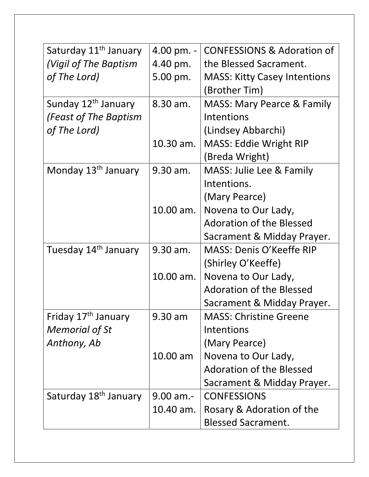| Saturday 11 <sup>th</sup> January | 4.00 pm. -        | <b>CONFESSIONS &amp; Adoration of</b> |
|-----------------------------------|-------------------|---------------------------------------|
| (Vigil of The Baptism             | 4.40 pm.          | the Blessed Sacrament.                |
| of The Lord)                      | 5.00 pm.          | <b>MASS: Kitty Casey Intentions</b>   |
|                                   |                   | (Brother Tim)                         |
| Sunday 12 <sup>th</sup> January   | 8.30 am.          | <b>MASS: Mary Pearce &amp; Family</b> |
| (Feast of The Baptism             |                   | Intentions                            |
| of The Lord)                      |                   | (Lindsey Abbarchi)                    |
|                                   | 10.30 am.         | <b>MASS: Eddie Wright RIP</b>         |
|                                   |                   | (Breda Wright)                        |
| Monday 13 <sup>th</sup> January   | 9.30 am.          | MASS: Julie Lee & Family              |
|                                   |                   | Intentions.                           |
|                                   |                   | (Mary Pearce)                         |
|                                   | 10.00 am.         | Novena to Our Lady,                   |
|                                   |                   | <b>Adoration of the Blessed</b>       |
|                                   |                   | Sacrament & Midday Prayer.            |
| Tuesday 14 <sup>th</sup> January  | 9.30 am.          | MASS: Denis O'Keeffe RIP              |
|                                   |                   | (Shirley O'Keeffe)                    |
|                                   | $10.00$ am.       | Novena to Our Lady,                   |
|                                   |                   | <b>Adoration of the Blessed</b>       |
|                                   |                   | Sacrament & Midday Prayer.            |
| Friday 17 <sup>th</sup> January   | $9.30 \text{ am}$ | <b>MASS: Christine Greene</b>         |
| <b>Memorial of St</b>             |                   | Intentions                            |
| Anthony, Ab                       |                   | (Mary Pearce)                         |
|                                   | $10.00$ am        | Novena to Our Lady,                   |
|                                   |                   | <b>Adoration of the Blessed</b>       |
|                                   |                   | Sacrament & Midday Prayer.            |
| Saturday 18 <sup>th</sup> January | $9.00$ am.-       | <b>CONFESSIONS</b>                    |
|                                   | 10.40 am.         | Rosary & Adoration of the             |
|                                   |                   | <b>Blessed Sacrament.</b>             |